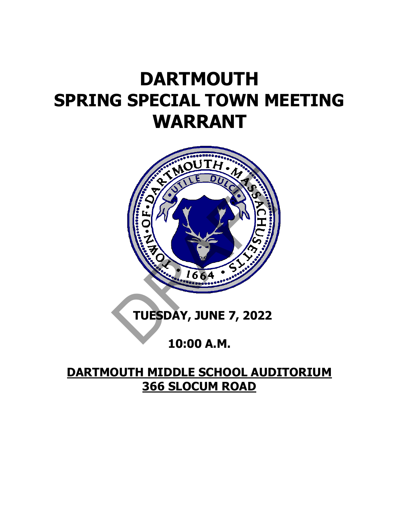# **DARTMOUTH SPRING SPECIAL TOWN MEETING WARRANT**



# **10:00 A.M.**

# **DARTMOUTH MIDDLE SCHOOL AUDITORIUM 366 SLOCUM ROAD**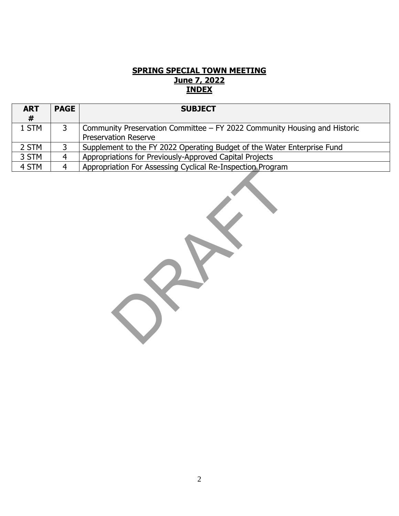#### **SPRING SPECIAL TOWN MEETING June 7, 2022 INDEX**

| <b>ART</b> | <b>PAGE</b> | <b>SUBJECT</b>                                                            |
|------------|-------------|---------------------------------------------------------------------------|
| #          |             |                                                                           |
| 1 STM      |             | Community Preservation Committee – FY 2022 Community Housing and Historic |
|            |             | <b>Preservation Reserve</b>                                               |
| 2 STM      | 3           | Supplement to the FY 2022 Operating Budget of the Water Enterprise Fund   |
| 3 STM      | 4           | Appropriations for Previously-Approved Capital Projects                   |
| 4 STM      | 4           | Appropriation For Assessing Cyclical Re-Inspection Program                |

**CALIFORNIES**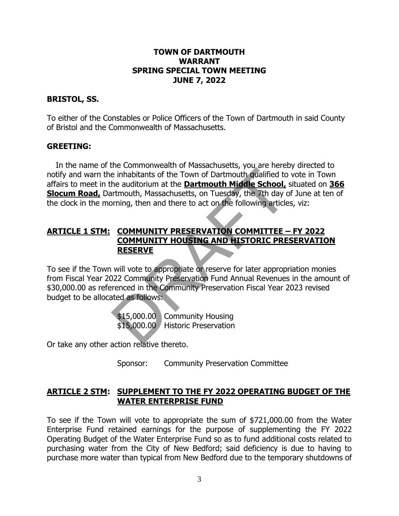#### **TOWN OF DARTMOUTH WARRANT SPRING SPECIAL TOWN MEETING JUNE 7, 2022**

#### **BRISTOL, SS.**

To either of the Constables or Police Officers of the Town of Dartmouth in said County of Bristol and the Commonwealth of Massachusetts.

#### **GREETING:**

In the name of the Commonwealth of Massachusetts, you are hereby directed to notify and warn the inhabitants of the Town of Dartmouth qualified to vote in Town affairs to meet in the auditorium at the **Dartmouth Middle School,** situated on **366 Slocum Road,** Dartmouth, Massachusetts, on Tuesday, the 7th day of June at ten of the clock in the morning, then and there to act on the following articles, viz: in einhabitants of the Town of Dartmouth qualified to<br>the auditorium at the Dartmouth Middle School,<br>trtmouth, Massachusetts, on Tuesday, the 7th day corning, then and there to act on the following article<br>community here a

#### **ARTICLE 1 STM: COMMUNITY PRESERVATION COMMITTEE – FY 2022 COMMUNITY HOUSING AND HISTORIC PRESERVATION RESERVE**

To see if the Town will vote to appropriate or reserve for later appropriation monies from Fiscal Year 2022 Community Preservation Fund Annual Revenues in the amount of \$30,000.00 as referenced in the Community Preservation Fiscal Year 2023 revised budget to be allocated as follows:

> \$15,000.00 Community Housing \$15,000.00 Historic Preservation

Or take any other action relative thereto.

Sponsor: Community Preservation Committee

### **ARTICLE 2 STM: SUPPLEMENT TO THE FY 2022 OPERATING BUDGET OF THE WATER ENTERPRISE FUND**

To see if the Town will vote to appropriate the sum of \$721,000.00 from the Water Enterprise Fund retained earnings for the purpose of supplementing the FY 2022 Operating Budget of the Water Enterprise Fund so as to fund additional costs related to purchasing water from the City of New Bedford; said deficiency is due to having to purchase more water than typical from New Bedford due to the temporary shutdowns of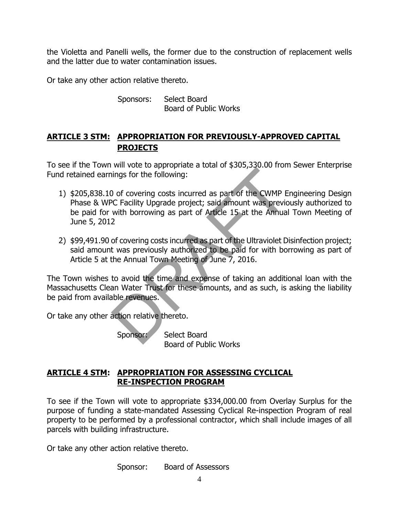the Violetta and Panelli wells, the former due to the construction of replacement wells and the latter due to water contamination issues.

Or take any other action relative thereto.

Sponsors: Select Board Board of Public Works

## **ARTICLE 3 STM: APPROPRIATION FOR PREVIOUSLY-APPROVED CAPITAL PROJECTS**

To see if the Town will vote to appropriate a total of \$305,330.00 from Sewer Enterprise Fund retained earnings for the following:

- 1) \$205,838.10 of covering costs incurred as part of the CWMP Engineering Design Phase & WPC Facility Upgrade project; said amount was previously authorized to be paid for with borrowing as part of Article 15 at the Annual Town Meeting of June 5, 2012 Things for the following:<br>
Dumings for the following:<br>
Dumings for the following:<br>
Dumings for the following:<br>
OC Facility Upgrade project; said amount was previous<br>
with borrowing as part of Article 15 at the Annual<br>
2<br>
o
- 2) \$99,491.90 of covering costs incurred as part of the Ultraviolet Disinfection project; said amount was previously authorized to be paid for with borrowing as part of Article 5 at the Annual Town Meeting of June 7, 2016.

The Town wishes to avoid the time and expense of taking an additional loan with the Massachusetts Clean Water Trust for these amounts, and as such, is asking the liability be paid from available revenues.

Or take any other action relative thereto.

Sponsor: Select Board Board of Public Works

## **ARTICLE 4 STM: APPROPRIATION FOR ASSESSING CYCLICAL RE-INSPECTION PROGRAM**

To see if the Town will vote to appropriate \$334,000.00 from Overlay Surplus for the purpose of funding a state-mandated Assessing Cyclical Re-inspection Program of real property to be performed by a professional contractor, which shall include images of all parcels with building infrastructure.

Or take any other action relative thereto.

Sponsor: Board of Assessors